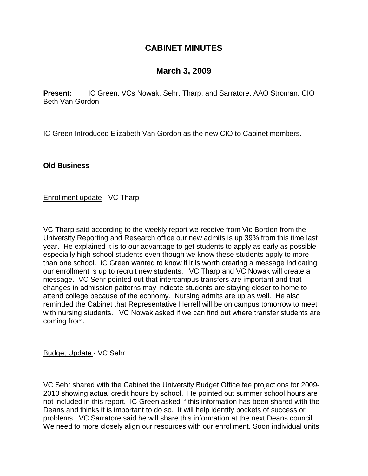## **CABINET MINUTES**

# **March 3, 2009**

**Present:** IC Green, VCs Nowak, Sehr, Tharp, and Sarratore, AAO Stroman, CIO Beth Van Gordon

IC Green Introduced Elizabeth Van Gordon as the new CIO to Cabinet members.

### **Old Business**

Enrollment update - VC Tharp

VC Tharp said according to the weekly report we receive from Vic Borden from the University Reporting and Research office our new admits is up 39% from this time last year. He explained it is to our advantage to get students to apply as early as possible especially high school students even though we know these students apply to more than one school. IC Green wanted to know if it is worth creating a message indicating our enrollment is up to recruit new students. VC Tharp and VC Nowak will create a message. VC Sehr pointed out that intercampus transfers are important and that changes in admission patterns may indicate students are staying closer to home to attend college because of the economy. Nursing admits are up as well. He also reminded the Cabinet that Representative Herrell will be on campus tomorrow to meet with nursing students. VC Nowak asked if we can find out where transfer students are coming from.

Budget Update - VC Sehr

VC Sehr shared with the Cabinet the University Budget Office fee projections for 2009- 2010 showing actual credit hours by school. He pointed out summer school hours are not included in this report. IC Green asked if this information has been shared with the Deans and thinks it is important to do so. It will help identify pockets of success or problems. VC Sarratore said he will share this information at the next Deans council. We need to more closely align our resources with our enrollment. Soon individual units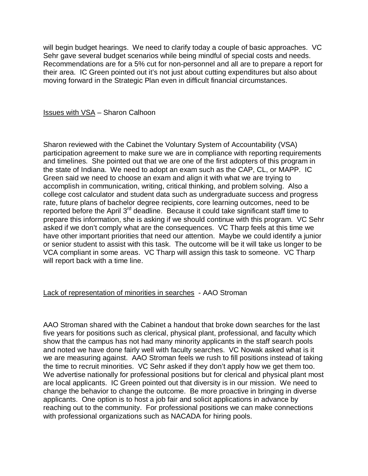will begin budget hearings. We need to clarify today a couple of basic approaches. VC Sehr gave several budget scenarios while being mindful of special costs and needs. Recommendations are for a 5% cut for non-personnel and all are to prepare a report for their area. IC Green pointed out it's not just about cutting expenditures but also about moving forward in the Strategic Plan even in difficult financial circumstances.

Issues with VSA – Sharon Calhoon

Sharon reviewed with the Cabinet the Voluntary System of Accountability (VSA) participation agreement to make sure we are in compliance with reporting requirements and timelines. She pointed out that we are one of the first adopters of this program in the state of Indiana. We need to adopt an exam such as the CAP, CL, or MAPP. IC Green said we need to choose an exam and align it with what we are trying to accomplish in communication, writing, critical thinking, and problem solving. Also a college cost calculator and student data such as undergraduate success and progress rate, future plans of bachelor degree recipients, core learning outcomes, need to be reported before the April 3<sup>rd</sup> deadline. Because it could take significant staff time to prepare this information, she is asking if we should continue with this program. VC Sehr asked if we don't comply what are the consequences. VC Tharp feels at this time we have other important priorities that need our attention. Maybe we could identify a junior or senior student to assist with this task. The outcome will be it will take us longer to be VCA compliant in some areas. VC Tharp will assign this task to someone. VC Tharp will report back with a time line.

#### Lack of representation of minorities in searches - AAO Stroman

AAO Stroman shared with the Cabinet a handout that broke down searches for the last five years for positions such as clerical, physical plant, professional, and faculty which show that the campus has not had many minority applicants in the staff search pools and noted we have done fairly well with faculty searches. VC Nowak asked what is it we are measuring against. AAO Stroman feels we rush to fill positions instead of taking the time to recruit minorities. VC Sehr asked if they don't apply how we get them too. We advertise nationally for professional positions but for clerical and physical plant most are local applicants. IC Green pointed out that diversity is in our mission. We need to change the behavior to change the outcome. Be more proactive in bringing in diverse applicants. One option is to host a job fair and solicit applications in advance by reaching out to the community. For professional positions we can make connections with professional organizations such as NACADA for hiring pools.